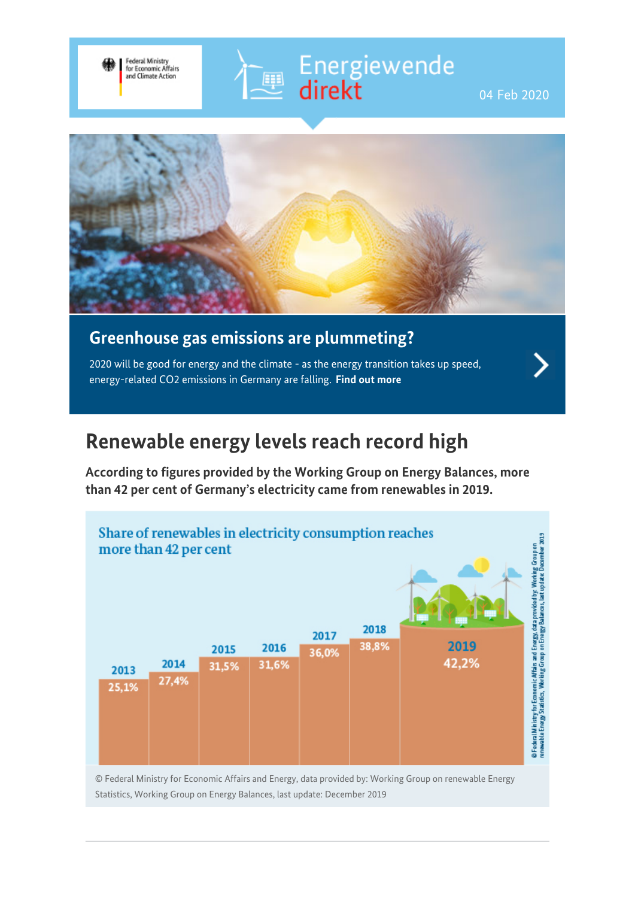





## **Greenhouse gas emissions are plummeting?**

2020 will be good for energy and the climate - as the energy transition takes up speed, energy-related CO2 emissions in Germany are falling. **[Find out more](https://www.bmwi-energiewende.de/EWD/Redaktion/EN/Newsletter/2020/01/Meldung/topthema.html)**

# **Renewable energy levels reach record high**

**According to figures provided by the Working Group on Energy Balances, more than 42 per cent of Germany's electricity came from renewables in 2019.**



© Federal Ministry for Economic Affairs and Energy, data provided by: Working Group on renewable Energy Statistics, Working Group on Energy Balances, last update: December 2019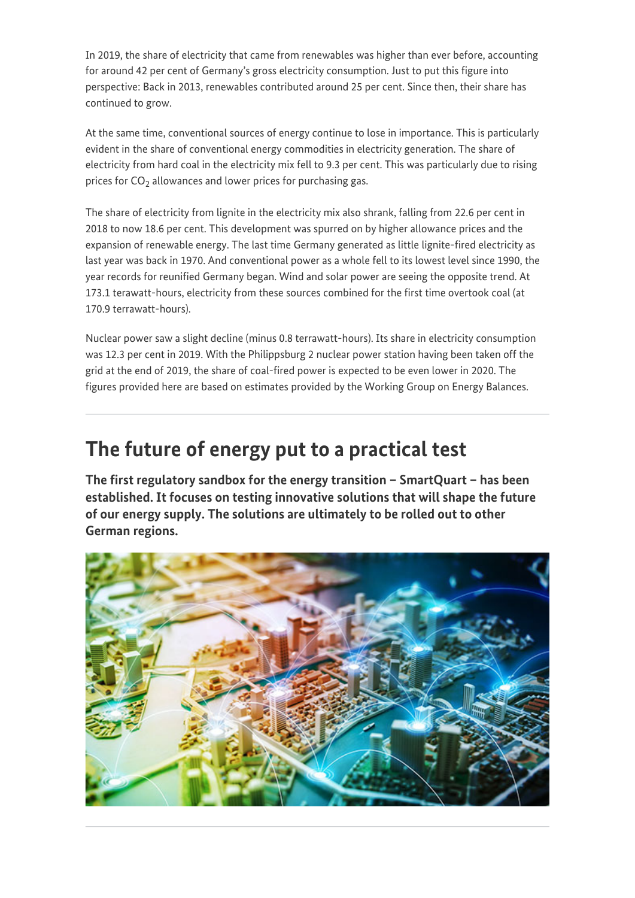In 2019, the share of electricity that came from renewables was higher than ever before, accounting for around 42 per cent of Germany's gross electricity consumption. Just to put this figure into perspective: Back in 2013, renewables contributed around 25 per cent. Since then, their share has continued to grow.

At the same time, conventional sources of energy continue to lose in importance. This is particularly evident in the share of conventional energy commodities in electricity generation. The share of electricity from hard coal in the electricity mix fell to 9.3 per cent. This was particularly due to rising prices for CO $_2$  allowances and lower prices for purchasing gas.

The share of electricity from lignite in the electricity mix also shrank, falling from 22.6 per cent in 2018 to now 18.6 per cent. This development was spurred on by higher allowance prices and the expansion of renewable energy. The last time Germany generated as little lignite-fired electricity as last year was back in 1970. And conventional power as a whole fell to its lowest level since 1990, the year records for reunified Germany began. Wind and solar power are seeing the opposite trend. At 173.1 terawatt-hours, electricity from these sources combined for the first time overtook coal (at 170.9 terrawatt-hours).

Nuclear power saw a slight decline (minus 0.8 terrawatt-hours). Its share in electricity consumption was 12.3 per cent in 2019. With the Philippsburg 2 nuclear power station having been taken off the grid at the end of 2019, the share of coal-fired power is expected to be even lower in 2020. The figures provided here are based on estimates provided by the Working Group on Energy Balances.

## **The future of energy put to a practical test**

**The first regulatory sandbox for the energy transition – SmartQuart – has been established. It focuses on testing innovative solutions that will shape the future of our energy supply. The solutions are ultimately to be rolled out to other German regions.**

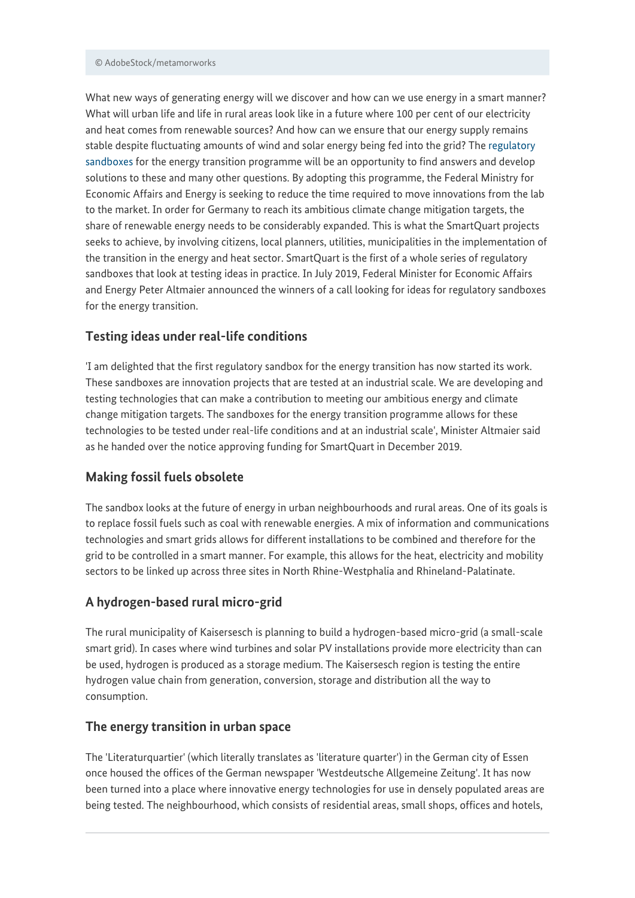#### © AdobeStock/metamorworks

What new ways of generating energy will we discover and how can we use energy in a smart manner? What will urban life and life in rural areas look like in a future where 100 per cent of our electricity and heat comes from renewable sources? And how can we ensure that our energy supply remains stable despite fluctuating amounts of wind and solar energy being fed into the grid? The [regulatory](https://www.bmwi.de/Redaktion/EN/Dossier/regulatory-test-beds-testing-environments-for-innovation-and-regulation.html) [sandboxes](https://www.bmwi.de/Redaktion/EN/Dossier/regulatory-test-beds-testing-environments-for-innovation-and-regulation.html) for the energy transition programme will be an opportunity to find answers and develop solutions to these and many other questions. By adopting this programme, the Federal Ministry for Economic Affairs and Energy is seeking to reduce the time required to move innovations from the lab to the market. In order for Germany to reach its ambitious climate change mitigation targets, the share of renewable energy needs to be considerably expanded. This is what the SmartQuart projects seeks to achieve, by involving citizens, local planners, utilities, municipalities in the implementation of the transition in the energy and heat sector. SmartQuart is the first of a whole series of regulatory sandboxes that look at testing ideas in practice. In July 2019, Federal Minister for Economic Affairs and Energy Peter Altmaier announced the winners of a call looking for ideas for regulatory sandboxes for the energy transition.

### **Testing ideas under real-life conditions**

'I am delighted that the first regulatory sandbox for the energy transition has now started its work. These sandboxes are innovation projects that are tested at an industrial scale. We are developing and testing technologies that can make a contribution to meeting our ambitious energy and climate change mitigation targets. The sandboxes for the energy transition programme allows for these technologies to be tested under real-life conditions and at an industrial scale', Minister Altmaier said as he handed over the notice approving funding for SmartQuart in December 2019.

### **Making fossil fuels obsolete**

The sandbox looks at the future of energy in urban neighbourhoods and rural areas. One of its goals is to replace fossil fuels such as coal with renewable energies. A mix of information and communications technologies and smart grids allows for different installations to be combined and therefore for the grid to be controlled in a smart manner. For example, this allows for the heat, electricity and mobility sectors to be linked up across three sites in North Rhine-Westphalia and Rhineland-Palatinate.

### **A hydrogen-based rural micro-grid**

The rural municipality of Kaisersesch is planning to build a hydrogen-based micro-grid (a small-scale smart grid). In cases where wind turbines and solar PV installations provide more electricity than can be used, hydrogen is produced as a storage medium. The Kaisersesch region is testing the entire hydrogen value chain from generation, conversion, storage and distribution all the way to consumption.

### **The energy transition in urban space**

The 'Literaturquartier' (which literally translates as 'literature quarter') in the German city of Essen once housed the offices of the German newspaper 'Westdeutsche Allgemeine Zeitung'. It has now been turned into a place where innovative energy technologies for use in densely populated areas are being tested. The neighbourhood, which consists of residential areas, small shops, offices and hotels,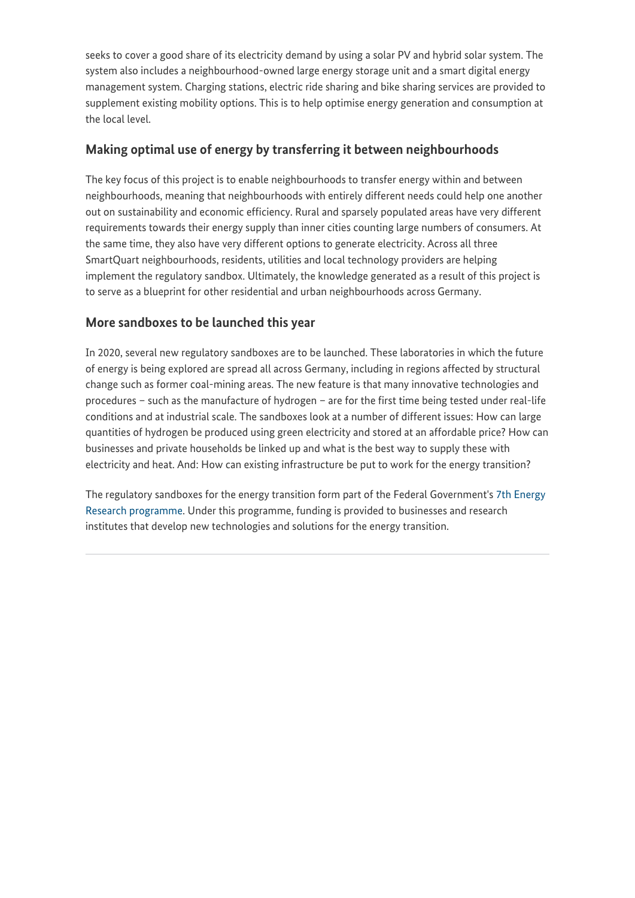seeks to cover a good share of its electricity demand by using a solar PV and hybrid solar system. The system also includes a neighbourhood-owned large energy storage unit and a smart digital energy management system. Charging stations, electric ride sharing and bike sharing services are provided to supplement existing mobility options. This is to help optimise energy generation and consumption at the local level.

### **Making optimal use of energy by transferring it between neighbourhoods**

The key focus of this project is to enable neighbourhoods to transfer energy within and between neighbourhoods, meaning that neighbourhoods with entirely different needs could help one another out on sustainability and economic efficiency. Rural and sparsely populated areas have very different requirements towards their energy supply than inner cities counting large numbers of consumers. At the same time, they also have very different options to generate electricity. Across all three SmartQuart neighbourhoods, residents, utilities and local technology providers are helping implement the regulatory sandbox. Ultimately, the knowledge generated as a result of this project is to serve as a blueprint for other residential and urban neighbourhoods across Germany.

## **More sandboxes to be launched this year**

In 2020, several new regulatory sandboxes are to be launched. These laboratories in which the future of energy is being explored are spread all across Germany, including in regions affected by structural change such as former coal-mining areas. The new feature is that many innovative technologies and procedures – such as the manufacture of hydrogen – are for the first time being tested under real-life conditions and at industrial scale. The sandboxes look at a number of different issues: How can large quantities of hydrogen be produced using green electricity and stored at an affordable price? How can businesses and private households be linked up and what is the best way to supply these with electricity and heat. And: How can existing infrastructure be put to work for the energy transition?

The regulatory sandboxes for the energy transition form part of the Federal Government's [7th Energy](https://www.bmwi.de/Redaktion/EN/Artikel/Energy/research-for-an-ecological-reliable-and-affordable-power-supply.html) [Research programme](https://www.bmwi.de/Redaktion/EN/Artikel/Energy/research-for-an-ecological-reliable-and-affordable-power-supply.html). Under this programme, funding is provided to businesses and research institutes that develop new technologies and solutions for the energy transition.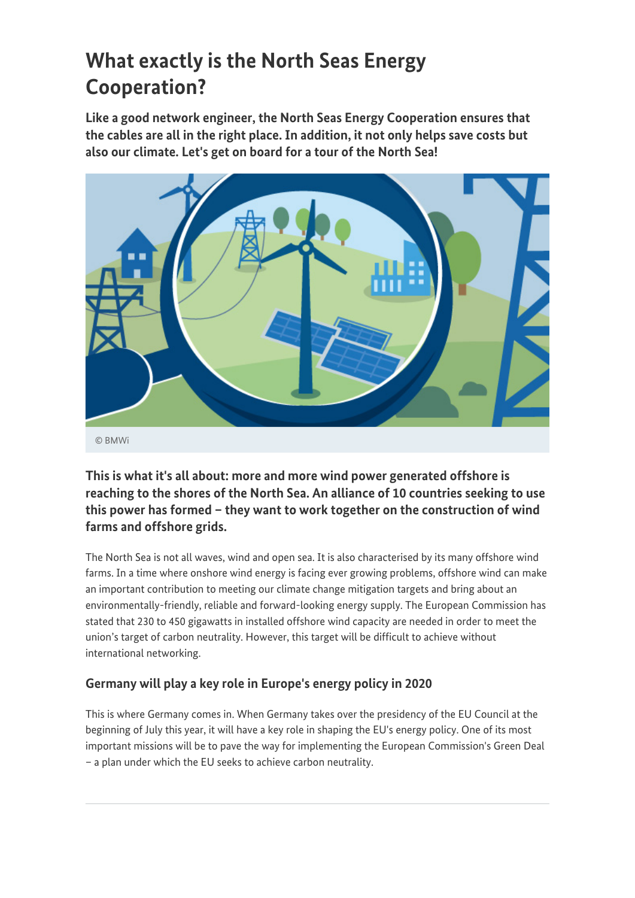# **What exactly is the North Seas Energy Cooperation?**

**Like a good network engineer, the North Seas Energy Cooperation ensures that the cables are all in the right place. In addition, it not only helps save costs but also our climate. Let's get on board for a tour of the North Sea!**



**This is what it's all about: more and more wind power generated offshore is reaching to the shores of the North Sea. An alliance of 10 countries seeking to use this power has formed – they want to work together on the construction of wind farms and offshore grids.**

The North Sea is not all waves, wind and open sea. It is also characterised by its many offshore wind farms. In a time where onshore wind energy is facing ever growing problems, offshore wind can make an important contribution to meeting our climate change mitigation targets and bring about an environmentally-friendly, reliable and forward-looking energy supply. The European Commission has stated that 230 to 450 gigawatts in installed offshore wind capacity are needed in order to meet the union's target of carbon neutrality. However, this target will be difficult to achieve without international networking.

## **Germany will play a key role in Europe's energy policy in 2020**

This is where Germany comes in. When Germany takes over the presidency of the EU Council at the beginning of July this year, it will have a key role in shaping the EU's energy policy. One of its most important missions will be to pave the way for implementing the European Commission's Green Deal – a plan under which the EU seeks to achieve carbon neutrality.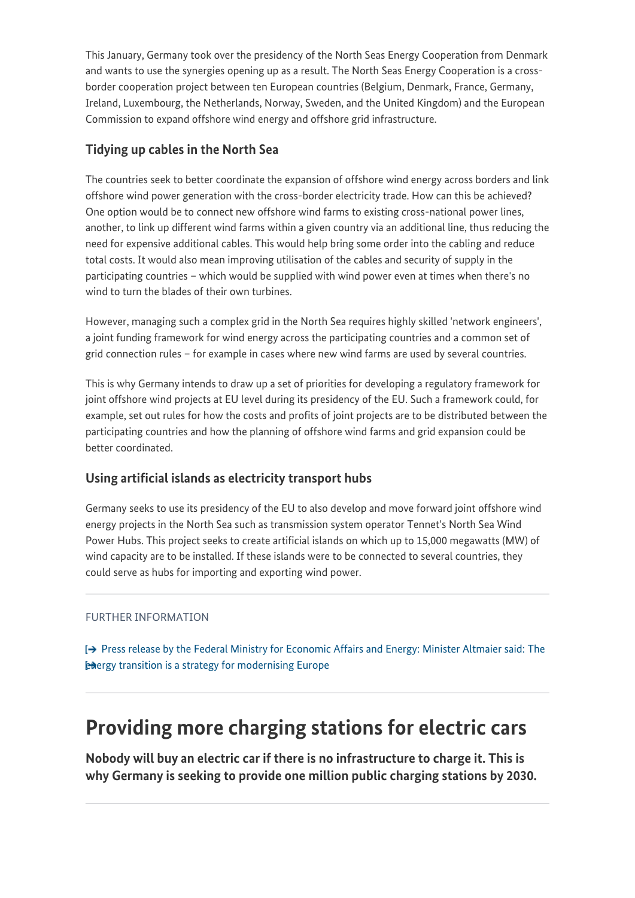This January, Germany took over the presidency of the North Seas Energy Cooperation from Denmark and wants to use the synergies opening up as a result. The North Seas Energy Cooperation is a crossborder cooperation project between ten European countries (Belgium, Denmark, France, Germany, Ireland, Luxembourg, the Netherlands, Norway, Sweden, and the United Kingdom) and the European Commission to expand offshore wind energy and offshore grid infrastructure.

## **Tidying up cables in the North Sea**

The countries seek to better coordinate the expansion of offshore wind energy across borders and link offshore wind power generation with the cross-border electricity trade. How can this be achieved? One option would be to connect new offshore wind farms to existing cross-national power lines, another, to link up different wind farms within a given country via an additional line, thus reducing the need for expensive additional cables. This would help bring some order into the cabling and reduce total costs. It would also mean improving utilisation of the cables and security of supply in the participating countries – which would be supplied with wind power even at times when there's no wind to turn the blades of their own turbines.

However, managing such a complex grid in the North Sea requires highly skilled 'network engineers', a joint funding framework for wind energy across the participating countries and a common set of grid connection rules – for example in cases where new wind farms are used by several countries.

This is why Germany intends to draw up a set of priorities for developing a regulatory framework for joint offshore wind projects at EU level during its presidency of the EU. Such a framework could, for example, set out rules for how the costs and profits of joint projects are to be distributed between the participating countries and how the planning of offshore wind farms and grid expansion could be better coordinated.

## **Using artificial islands as electricity transport hubs**

Germany seeks to use its presidency of the EU to also develop and move forward joint offshore wind energy projects in the North Sea such as transmission system operator Tennet's North Sea Wind Power Hubs. This project seeks to create artificial islands on which up to 15,000 megawatts (MW) of wind capacity are to be installed. If these islands were to be connected to several countries, they could serve as hubs for importing and exporting wind power.

### FURTHER INFORMATION

[Press release by the Federal Ministry for Economic Affairs and Energy: Minister Altmaier said: The](https://www.bmwi.de/Redaktion/EN/Pressemitteilungen/2019/20191204-altmaier-energy-transition-is-a-modernisation-strategy-for-europe.html) **Energy transition is a strategy for modernising Europe** 

## **Providing more charging stations for electric cars**

**Nobody will buy an electric car if there is no infrastructure to charge it. This is why Germany is seeking to provide one million public charging stations by 2030.**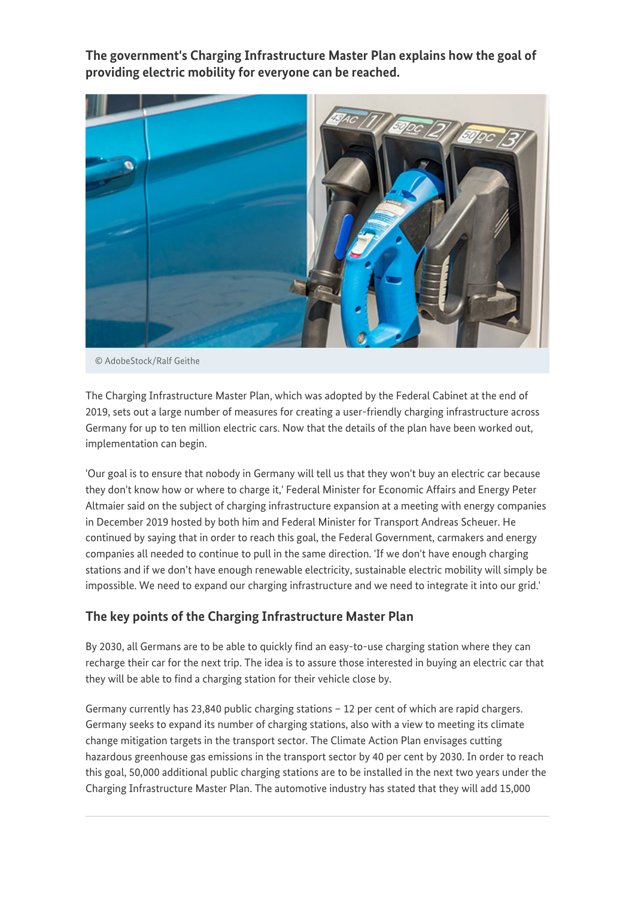**The government's Charging Infrastructure Master Plan explains how the goal of providing electric mobility for everyone can be reached.**



© AdobeStock/Ralf Geithe

The Charging Infrastructure Master Plan, which was adopted by the Federal Cabinet at the end of 2019, sets out a large number of measures for creating a user-friendly charging infrastructure across Germany for up to ten million electric cars. Now that the details of the plan have been worked out, implementation can begin.

'Our goal is to ensure that nobody in Germany will tell us that they won't buy an electric car because they don't know how or where to charge it,' Federal Minister for Economic Affairs and Energy Peter Altmaier said on the subject of charging infrastructure expansion at a meeting with energy companies in December 2019 hosted by both him and Federal Minister for Transport Andreas Scheuer. He continued by saying that in order to reach this goal, the Federal Government, carmakers and energy companies all needed to continue to pull in the same direction. 'If we don't have enough charging stations and if we don't have enough renewable electricity, sustainable electric mobility will simply be impossible. We need to expand our charging infrastructure and we need to integrate it into our grid.'

## **The key points of the Charging Infrastructure Master Plan**

By 2030, all Germans are to be able to quickly find an easy-to-use charging station where they can recharge their car for the next trip. The idea is to assure those interested in buying an electric car that they will be able to find a charging station for their vehicle close by.

Germany currently has 23,840 public charging stations  $-12$  per cent of which are rapid chargers. Germany seeks to expand its number of charging stations, also with a view to meeting its climate change mitigation targets in the transport sector. The Climate Action Plan envisages cutting hazardous greenhouse gas emissions in the transport sector by 40 per cent by 2030. In order to reach this goal, 50,000 additional public charging stations are to be installed in the next two years under the Charging Infrastructure Master Plan. The automotive industry has stated that they will add 15,000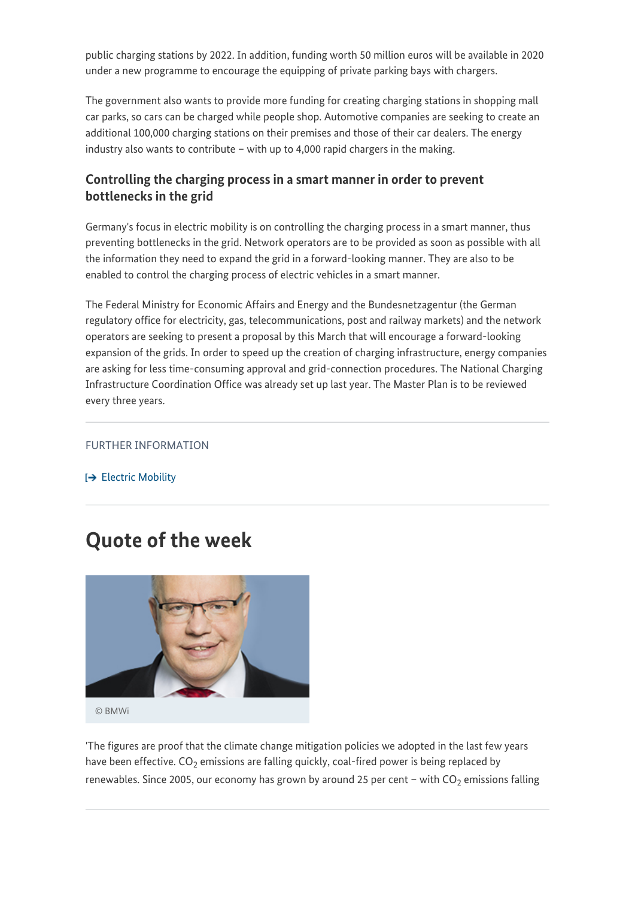public charging stations by 2022. In addition, funding worth 50 million euros will be available in 2020 under a new programme to encourage the equipping of private parking bays with chargers.

The government also wants to provide more funding for creating charging stations in shopping mall car parks, so cars can be charged while people shop. Automotive companies are seeking to create an additional 100,000 charging stations on their premises and those of their car dealers. The energy industry also wants to contribute – with up to 4,000 rapid chargers in the making.

## **Controlling the charging process in a smart manner in order to prevent bottlenecks in the grid**

Germany's focus in electric mobility is on controlling the charging process in a smart manner, thus preventing bottlenecks in the grid. Network operators are to be provided as soon as possible with all the information they need to expand the grid in a forward-looking manner. They are also to be enabled to control the charging process of electric vehicles in a smart manner.

The Federal Ministry for Economic Affairs and Energy and the Bundesnetzagentur (the German regulatory office for electricity, gas, telecommunications, post and railway markets) and the network operators are seeking to present a proposal by this March that will encourage a forward-looking expansion of the grids. In order to speed up the creation of charging infrastructure, energy companies are asking for less time-consuming approval and grid-connection procedures. The National Charging Infrastructure Coordination Office was already set up last year. The Master Plan is to be reviewed every three years.

#### FURTHER INFORMATION

 $\rightarrow$  [Electric Mobility](https://www.bmwi.de/Redaktion/EN/Dossier/electric-mobility.html)

## **Quote of the week**



© BMWi

'The figures are proof that the climate change mitigation policies we adopted in the last few years have been effective. CO $_2$  emissions are falling quickly, coal-fired power is being replaced by renewables. Since 2005, our economy has grown by around 25 per cent – with CO $_2$  emissions falling